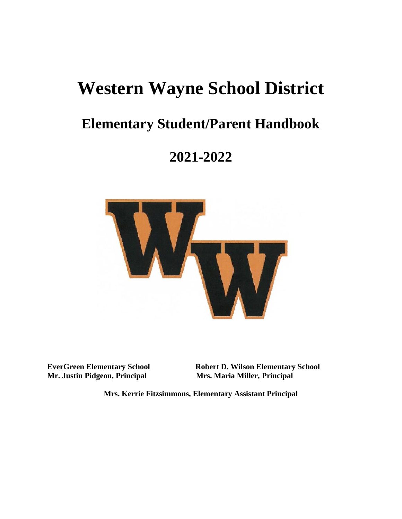# **Western Wayne School District**

## **Elementary Student/Parent Handbook**

## **2021-2022**



**Mr. Justin Pidgeon, Principal Mrs. Maria Miller, Principal**

**EverGreen Elementary School Robert D. Wilson Elementary School**

**Mrs. Kerrie Fitzsimmons, Elementary Assistant Principal**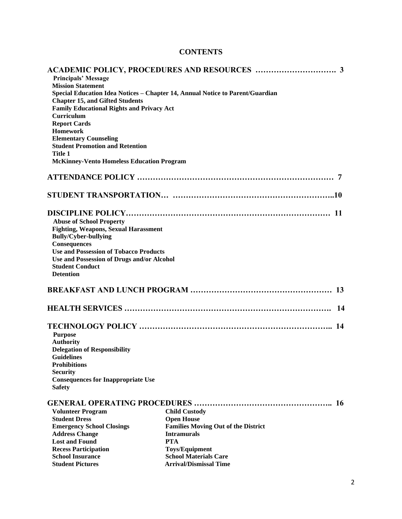## **CONTENTS**

| <b>Principals' Message</b>                                                                                                                                                                              |                                                                  |                     |  |
|---------------------------------------------------------------------------------------------------------------------------------------------------------------------------------------------------------|------------------------------------------------------------------|---------------------|--|
| <b>Mission Statement</b><br>Special Education Idea Notices - Chapter 14, Annual Notice to Parent/Guardian<br><b>Chapter 15, and Gifted Students</b><br><b>Family Educational Rights and Privacy Act</b> |                                                                  |                     |  |
|                                                                                                                                                                                                         |                                                                  | Curriculum          |  |
|                                                                                                                                                                                                         |                                                                  | <b>Report Cards</b> |  |
|                                                                                                                                                                                                         |                                                                  | <b>Homework</b>     |  |
| <b>Elementary Counseling</b>                                                                                                                                                                            |                                                                  |                     |  |
| <b>Student Promotion and Retention</b>                                                                                                                                                                  |                                                                  |                     |  |
| <b>Title 1</b>                                                                                                                                                                                          |                                                                  |                     |  |
| <b>McKinney-Vento Homeless Education Program</b>                                                                                                                                                        |                                                                  |                     |  |
|                                                                                                                                                                                                         |                                                                  |                     |  |
|                                                                                                                                                                                                         |                                                                  |                     |  |
|                                                                                                                                                                                                         |                                                                  |                     |  |
|                                                                                                                                                                                                         |                                                                  |                     |  |
| <b>Abuse of School Property</b>                                                                                                                                                                         |                                                                  |                     |  |
| <b>Fighting, Weapons, Sexual Harassment</b><br><b>Bully/Cyber-bullying</b>                                                                                                                              |                                                                  |                     |  |
| Consequences                                                                                                                                                                                            |                                                                  |                     |  |
| <b>Use and Possession of Tobacco Products</b>                                                                                                                                                           |                                                                  |                     |  |
| Use and Possession of Drugs and/or Alcohol                                                                                                                                                              |                                                                  |                     |  |
| <b>Student Conduct</b>                                                                                                                                                                                  |                                                                  |                     |  |
| <b>Detention</b>                                                                                                                                                                                        |                                                                  |                     |  |
|                                                                                                                                                                                                         |                                                                  |                     |  |
|                                                                                                                                                                                                         | 13                                                               |                     |  |
|                                                                                                                                                                                                         | -14                                                              |                     |  |
|                                                                                                                                                                                                         | 14                                                               |                     |  |
| <b>Purpose</b>                                                                                                                                                                                          |                                                                  |                     |  |
| <b>Authority</b>                                                                                                                                                                                        |                                                                  |                     |  |
| <b>Delegation of Responsibility</b>                                                                                                                                                                     |                                                                  |                     |  |
| <b>Guidelines</b>                                                                                                                                                                                       |                                                                  |                     |  |
| <b>Prohibitions</b>                                                                                                                                                                                     |                                                                  |                     |  |
| <b>Security</b>                                                                                                                                                                                         |                                                                  |                     |  |
| <b>Consequences for Inappropriate Use</b>                                                                                                                                                               |                                                                  |                     |  |
| <b>Safety</b>                                                                                                                                                                                           |                                                                  |                     |  |
|                                                                                                                                                                                                         | -16                                                              |                     |  |
|                                                                                                                                                                                                         |                                                                  |                     |  |
| <b>Volunteer Program</b>                                                                                                                                                                                | <b>Child Custody</b>                                             |                     |  |
| <b>Student Dress</b>                                                                                                                                                                                    | <b>Open House</b>                                                |                     |  |
| <b>Emergency School Closings</b>                                                                                                                                                                        | <b>Families Moving Out of the District</b><br><b>Intramurals</b> |                     |  |
| <b>Address Change</b>                                                                                                                                                                                   | <b>PTA</b>                                                       |                     |  |
| <b>Lost and Found</b>                                                                                                                                                                                   |                                                                  |                     |  |
| <b>Recess Participation</b><br><b>School Insurance</b>                                                                                                                                                  | <b>Toys/Equipment</b><br><b>School Materials Care</b>            |                     |  |
| <b>Student Pictures</b>                                                                                                                                                                                 | <b>Arrival/Dismissal Time</b>                                    |                     |  |
|                                                                                                                                                                                                         |                                                                  |                     |  |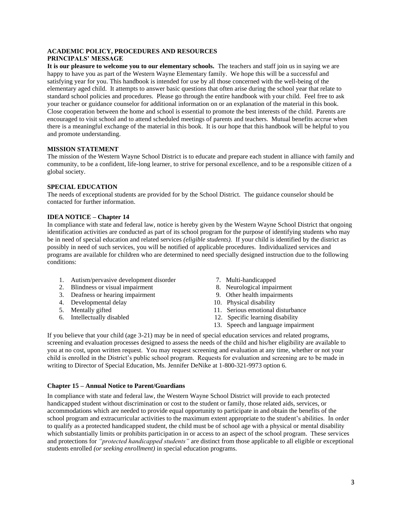#### **ACADEMIC POLICY, PROCEDURES AND RESOURCES PRINCIPALS' MESSAGE**

**It is our pleasure to welcome you to our elementary schools.** The teachers and staff join us in saying we are happy to have you as part of the Western Wayne Elementary family. We hope this will be a successful and satisfying year for you. This handbook is intended for use by all those concerned with the well-being of the elementary aged child. It attempts to answer basic questions that often arise during the school year that relate to standard school policies and procedures. Please go through the entire handbook with your child. Feel free to ask your teacher or guidance counselor for additional information on or an explanation of the material in this book. Close cooperation between the home and school is essential to promote the best interests of the child. Parents are encouraged to visit school and to attend scheduled meetings of parents and teachers. Mutual benefits accrue when there is a meaningful exchange of the material in this book. It is our hope that this handbook will be helpful to you and promote understanding.

#### **MISSION STATEMENT**

The mission of the Western Wayne School District is to educate and prepare each student in alliance with family and community, to be a confident, life-long learner, to strive for personal excellence, and to be a responsible citizen of a global society.

#### **SPECIAL EDUCATION**

The needs of exceptional students are provided for by the School District. The guidance counselor should be contacted for further information.

#### **IDEA NOTICE – Chapter 14**

In compliance with state and federal law, notice is hereby given by the Western Wayne School District that ongoing identification activities are conducted as part of its school program for the purpose of identifying students who may be in need of special education and related services *(eligible students).* If your child is identified by the district as possibly in need of such services, you will be notified of applicable procedures. Individualized services and programs are available for children who are determined to need specially designed instruction due to the following conditions:

- 1. Autism/pervasive development disorder 7. Multi-handicapped
- 2. Blindness or visual impairment 8. Neurological impairment
- 3. Deafness or hearing impairment 9. Other health impairments
- 4. Developmental delay 10. Physical disability
- 
- 
- 
- 
- 
- 
- 5. Mentally gifted 11. Serious emotional disturbance<br>6. Intellectually disabled 12. Specific learning disability
	- 12. Specific learning disability
	- 13. Speech and language impairment

If you believe that your child (age 3-21) may be in need of special education services and related programs, screening and evaluation processes designed to assess the needs of the child and his/her eligibility are available to you at no cost, upon written request. You may request screening and evaluation at any time, whether or not your child is enrolled in the District's public school program. Requests for evaluation and screening are to be made in writing to Director of Special Education, Ms. Jennifer DeNike at 1-800-321-9973 option 6.

#### **Chapter 15 – Annual Notice to Parent/Guardians**

In compliance with state and federal law, the Western Wayne School District will provide to each protected handicapped student without discrimination or cost to the student or family, those related aids, services, or accommodations which are needed to provide equal opportunity to participate in and obtain the benefits of the school program and extracurricular activities to the maximum extent appropriate to the student's abilities. In order to qualify as a protected handicapped student, the child must be of school age with a physical or mental disability which substantially limits or prohibits participation in or access to an aspect of the school program. These services and protections for *"protected handicapped students"* are distinct from those applicable to all eligible or exceptional students enrolled *(or seeking enrollment)* in special education programs.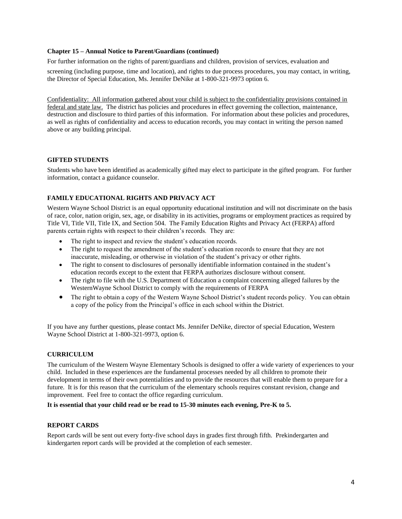#### **Chapter 15 – Annual Notice to Parent/Guardians (continued)**

For further information on the rights of parent/guardians and children, provision of services, evaluation and

screening (including purpose, time and location), and rights to due process procedures, you may contact, in writing, the Director of Special Education, Ms. Jennifer DeNike at 1-800-321-9973 option 6.

Confidentiality: All information gathered about your child is subject to the confidentiality provisions contained in federal and state law. The district has policies and procedures in effect governing the collection, maintenance, destruction and disclosure to third parties of this information. For information about these policies and procedures, as well as rights of confidentiality and access to education records, you may contact in writing the person named above or any building principal.

#### **GIFTED STUDENTS**

Students who have been identified as academically gifted may elect to participate in the gifted program. For further information, contact a guidance counselor.

#### **FAMILY EDUCATIONAL RIGHTS AND PRIVACY ACT**

Western Wayne School District is an equal opportunity educational institution and will not discriminate on the basis of race, color, nation origin, sex, age, or disability in its activities, programs or employment practices as required by Title VI, Title VII, Title IX, and Section 504. The Family Education Rights and Privacy Act (FERPA) afford parents certain rights with respect to their children's records. They are:

- The right to inspect and review the student's education records.
- The right to request the amendment of the student's education records to ensure that they are not inaccurate, misleading, or otherwise in violation of the student's privacy or other rights.
- The right to consent to disclosures of personally identifiable information contained in the student's education records except to the extent that FERPA authorizes disclosure without consent.
- The right to file with the U.S. Department of Education a complaint concerning alleged failures by the WesternWayne School District to comply with the requirements of FERPA
- The right to obtain a copy of the Western Wayne School District's student records policy. You can obtain a copy of the policy from the Principal's office in each school within the District.

If you have any further questions, please contact Ms. Jennifer DeNike, director of special Education, Western Wayne School District at 1-800-321-9973, option 6.

#### **CURRICULUM**

The curriculum of the Western Wayne Elementary Schools is designed to offer a wide variety of experiences to your child. Included in these experiences are the fundamental processes needed by all children to promote their development in terms of their own potentialities and to provide the resources that will enable them to prepare for a future. It is for this reason that the curriculum of the elementary schools requires constant revision, change and improvement. Feel free to contact the office regarding curriculum.

#### **It is essential that your child read or be read to 15-30 minutes each evening, Pre-K to 5.**

#### **REPORT CARDS**

Report cards will be sent out every forty-five school days in grades first through fifth. Prekindergarten and kindergarten report cards will be provided at the completion of each semester.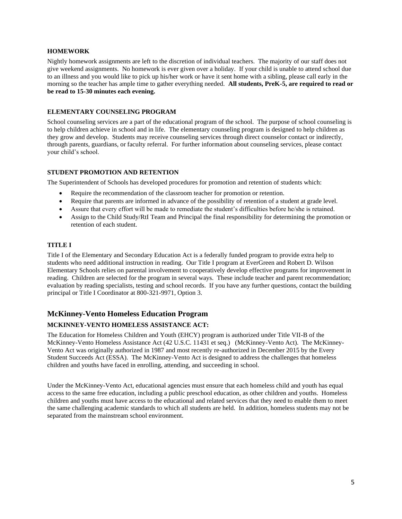#### **HOMEWORK**

Nightly homework assignments are left to the discretion of individual teachers. The majority of our staff does not give weekend assignments. No homework is ever given over a holiday. If your child is unable to attend school due to an illness and you would like to pick up his/her work or have it sent home with a sibling, please call early in the morning so the teacher has ample time to gather everything needed. **All students, PreK-5, are required to read or be read to 15-30 minutes each evening.**

#### **ELEMENTARY COUNSELING PROGRAM**

School counseling services are a part of the educational program of the school. The purpose of school counseling is to help children achieve in school and in life. The elementary counseling program is designed to help children as they grow and develop. Students may receive counseling services through direct counselor contact or indirectly, through parents, guardians, or faculty referral. For further information about counseling services, please contact your child's school.

#### **STUDENT PROMOTION AND RETENTION**

The Superintendent of Schools has developed procedures for promotion and retention of students which:

- Require the recommendation of the classroom teacher for promotion or retention.
- Require that parents are informed in advance of the possibility of retention of a student at grade level.
- Assure that every effort will be made to remediate the student's difficulties before he/she is retained.
- Assign to the Child Study/RtI Team and Principal the final responsibility for determining the promotion or retention of each student.

#### **TITLE I**

Title I of the Elementary and Secondary Education Act is a federally funded program to provide extra help to students who need additional instruction in reading. Our Title I program at EverGreen and Robert D. Wilson Elementary Schools relies on parental involvement to cooperatively develop effective programs for improvement in reading. Children are selected for the program in several ways. These include teacher and parent recommendation; evaluation by reading specialists, testing and school records. If you have any further questions, contact the building principal or Title I Coordinator at 800-321-9971, Option 3.

### **McKinney-Vento Homeless Education Program MCKINNEY-VENTO HOMELESS ASSISTANCE ACT:**

The Education for Homeless Children and Youth (EHCY) program is authorized under Title VII-B of the McKinney-Vento Homeless Assistance Act (42 U.S.C. 11431 et seq.) (McKinney-Vento Act). The McKinney-Vento Act was originally authorized in 1987 and most recently re-authorized in December 2015 by the Every Student Succeeds Act (ESSA). The McKinney-Vento Act is designed to address the challenges that homeless children and youths have faced in enrolling, attending, and succeeding in school.

Under the McKinney-Vento Act, educational agencies must ensure that each homeless child and youth has equal access to the same free education, including a public preschool education, as other children and youths. Homeless children and youths must have access to the educational and related services that they need to enable them to meet the same challenging academic standards to which all students are held. In addition, homeless students may not be separated from the mainstream school environment.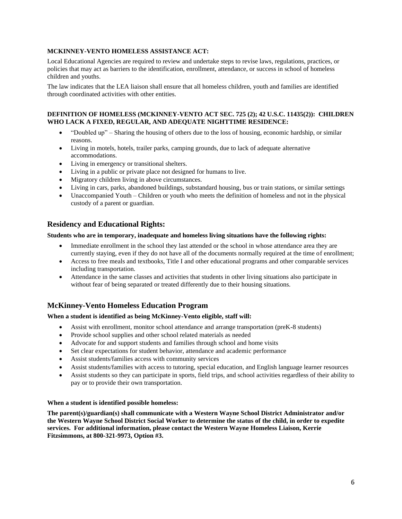#### **MCKINNEY-VENTO HOMELESS ASSISTANCE ACT:**

Local Educational Agencies are required to review and undertake steps to revise laws, regulations, practices, or policies that may act as barriers to the identification, enrollment, attendance, or success in school of homeless children and youths.

The law indicates that the LEA liaison shall ensure that all homeless children, youth and families are identified through coordinated activities with other entities.

#### **DEFINITION OF HOMELESS (MCKINNEY-VENTO ACT SEC. 725 (2); 42 U.S.C. 11435(2)): CHILDREN WHO LACK A FIXED, REGULAR, AND ADEQUATE NIGHTTIME RESIDENCE:**

- "Doubled up" Sharing the housing of others due to the loss of housing, economic hardship, or similar reasons.
- Living in motels, hotels, trailer parks, camping grounds, due to lack of adequate alternative accommodations.
- Living in emergency or transitional shelters.
- Living in a public or private place not designed for humans to live.
- Migratory children living in above circumstances.
- Living in cars, parks, abandoned buildings, substandard housing, bus or train stations, or similar settings
- Unaccompanied Youth Children or youth who meets the definition of homeless and not in the physical custody of a parent or guardian.

#### **Residency and Educational Rights:**

#### **Students who are in temporary, inadequate and homeless living situations have the following rights:**

- Immediate enrollment in the school they last attended or the school in whose attendance area they are currently staying, even if they do not have all of the documents normally required at the time of enrollment;
- Access to free meals and textbooks, Title I and other educational programs and other comparable services including transportation.
- Attendance in the same classes and activities that students in other living situations also participate in without fear of being separated or treated differently due to their housing situations.

#### **McKinney-Vento Homeless Education Program**

#### **When a student is identified as being McKinney-Vento eligible, staff will:**

- Assist with enrollment, monitor school attendance and arrange transportation (preK-8 students)
- Provide school supplies and other school related materials as needed
- Advocate for and support students and families through school and home visits
- Set clear expectations for student behavior, attendance and academic performance
- Assist students/families access with community services
- Assist students/families with access to tutoring, special education, and English language learner resources
- Assist students so they can participate in sports, field trips, and school activities regardless of their ability to pay or to provide their own transportation.

#### **When a student is identified possible homeless:**

**The parent(s)/guardian(s) shall communicate with a Western Wayne School District Administrator and/or the Western Wayne School District Social Worker to determine the status of the child, in order to expedite services. For additional information, please contact the Western Wayne Homeless Liaison, Kerrie Fitzsimmons, at 800-321-9973, Option #3.**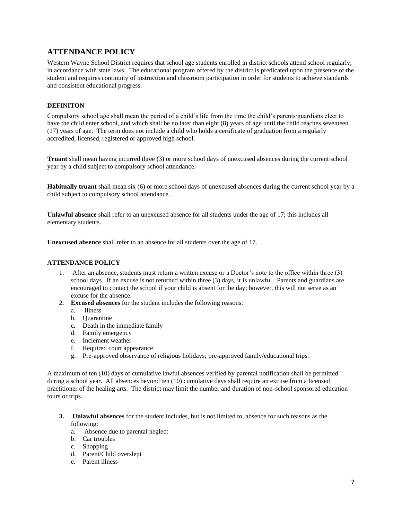### **ATTENDANCE POLICY**

Western Wayne School District requires that school age students enrolled in district schools attend school regularly, in accordance with state laws. The educational program offered by the district is predicated upon the presence of the student and requires continuity of instruction and classroom participation in order for students to achieve standards and consistent educational progress.

#### **DEFINITON**

Compulsory school age shall mean the period of a child's life from the time the child's parents/guardians elect to have the child enter school, and which shall be no later than eight (8) years of age until the child reaches seventeen (17) years of age. The term does not include a child who holds a certificate of graduation from a regularly accredited, licensed, registered or approved high school.

**Truant** shall mean having incurred three (3) or more school days of unexcused absences during the current school year by a child subject to compulsory school attendance.

**Habitually truant** shall mean six (6) or more school days of unexcused absences during the current school year by a child subject to compulsory school attendance.

**Unlawful absence** shall refer to an unexcused absence for all students under the age of 17; this includes all elementary students.

**Unexcused absence** shall refer to an absence for all students over the age of 17.

#### **ATTENDANCE POLICY**

- 1. After an absence, students must return a written excuse or a Doctor's note to the office within three (3) school days. If an excuse is not returned within three (3) days, it is unlawful. Parents and guardians are encouraged to contact the school if your child is absent for the day; however, this will not serve as an excuse for the absence.
- 2. **Excused absences** for the student includes the following reasons:
	- a. Illness
	- b. Quarantine
	- c. Death in the immediate family
	- d. Family emergency
	- e. Inclement weather
	- f. Required court appearance
	- g. Pre-approved observance of religious holidays; pre-approved family/educational trips.

A maximum of ten (10) days of cumulative lawful absences verified by parental notification shall be permitted during a school year. All absences beyond ten (10) cumulative days shall require an excuse from a licensed practitioner of the healing arts. The district may limit the number and duration of non-school sponsored education tours or trips.

- **3. Unlawful absences** for the student includes, but is not limited to, absence for such reasons as the following:
	- a. Absence due to parental neglect
	- b. Car troubles
	- c. Shopping
	- d. Parent/Child overslept
	- e. Parent illness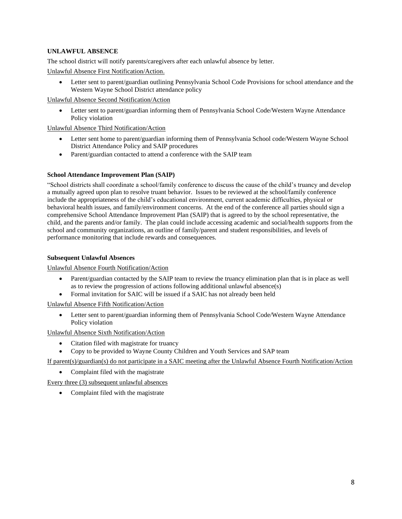#### **UNLAWFUL ABSENCE**

The school district will notify parents/caregivers after each unlawful absence by letter.

Unlawful Absence First Notification/Action.

• Letter sent to parent/guardian outlining Pennsylvania School Code Provisions for school attendance and the Western Wayne School District attendance policy

Unlawful Absence Second Notification/Action

Letter sent to parent/guardian informing them of Pennsylvania School Code/Western Wayne Attendance Policy violation

Unlawful Absence Third Notification/Action

- Letter sent home to parent/guardian informing them of Pennsylvania School code/Western Wayne School District Attendance Policy and SAIP procedures
- Parent/guardian contacted to attend a conference with the SAIP team

#### **School Attendance Improvement Plan (SAIP)**

"School districts shall coordinate a school/family conference to discuss the cause of the child's truancy and develop a mutually agreed upon plan to resolve truant behavior. Issues to be reviewed at the school/family conference include the appropriateness of the child's educational environment, current academic difficulties, physical or behavioral health issues, and family/environment concerns. At the end of the conference all parties should sign a comprehensive School Attendance Improvement Plan (SAIP) that is agreed to by the school representative, the child, and the parents and/or family. The plan could include accessing academic and social/health supports from the school and community organizations, an outline of family/parent and student responsibilities, and levels of performance monitoring that include rewards and consequences.

#### **Subsequent Unlawful Absences**

Unlawful Absence Fourth Notification/Action

- Parent/guardian contacted by the SAIP team to review the truancy elimination plan that is in place as well as to review the progression of actions following additional unlawful absence(s)
- Formal invitation for SAIC will be issued if a SAIC has not already been held

Unlawful Absence Fifth Notification/Action

• Letter sent to parent/guardian informing them of Pennsylvania School Code/Western Wayne Attendance Policy violation

Unlawful Absence Sixth Notification/Action

- Citation filed with magistrate for truancy
- Copy to be provided to Wayne County Children and Youth Services and SAP team

If parent(s)/guardian(s) do not participate in a SAIC meeting after the Unlawful Absence Fourth Notification/Action

• Complaint filed with the magistrate

Every three (3) subsequent unlawful absences

• Complaint filed with the magistrate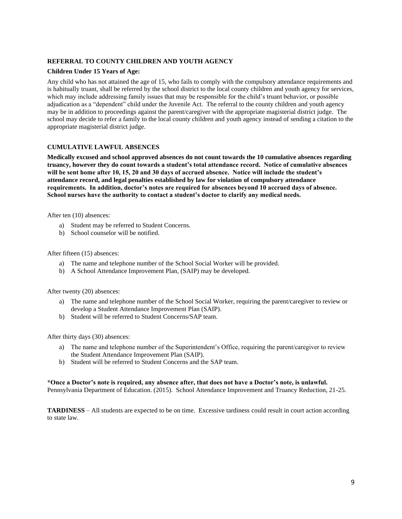#### **REFERRAL TO COUNTY CHILDREN AND YOUTH AGENCY**

#### **Children Under 15 Years of Age:**

Any child who has not attained the age of 15, who fails to comply with the compulsory attendance requirements and is habitually truant, shall be referred by the school district to the local county children and youth agency for services, which may include addressing family issues that may be responsible for the child's truant behavior, or possible adjudication as a "dependent" child under the Juvenile Act. The referral to the county children and youth agency may be in addition to proceedings against the parent/caregiver with the appropriate magisterial district judge. The school may decide to refer a family to the local county children and youth agency instead of sending a citation to the appropriate magisterial district judge.

#### **CUMULATIVE LAWFUL ABSENCES**

**Medically excused and school approved absences do not count towards the 10 cumulative absences regarding truancy, however they do count towards a student's total attendance record. Notice of cumulative absences will be sent home after 10, 15, 20 and 30 days of accrued absence. Notice will include the student's attendance record, and legal penalties established by law for violation of compulsory attendance requirements. In addition, doctor's notes are required for absences beyond 10 accrued days of absence. School nurses have the authority to contact a student's doctor to clarify any medical needs.**

After ten (10) absences:

- a) Student may be referred to Student Concerns.
- b) School counselor will be notified.

After fifteen (15) absences:

- a) The name and telephone number of the School Social Worker will be provided.
- b) A School Attendance Improvement Plan, (SAIP) may be developed.

After twenty (20) absences:

- a) The name and telephone number of the School Social Worker, requiring the parent/caregiver to review or develop a Student Attendance Improvement Plan (SAIP).
- b) Student will be referred to Student Concerns/SAP team.

After thirty days (30) absences:

- a) The name and telephone number of the Superintendent's Office, requiring the parent/caregiver to review the Student Attendance Improvement Plan (SAIP).
- b) Student will be referred to Student Concerns and the SAP team.

#### **\*Once a Doctor's note is required, any absence after, that does not have a Doctor's note, is unlawful.**

Pennsylvania Department of Education. (2015). School Attendance Improvement and Truancy Reduction, 21-25.

**TARDINESS** – All students are expected to be on time. Excessive tardiness could result in court action according to state law.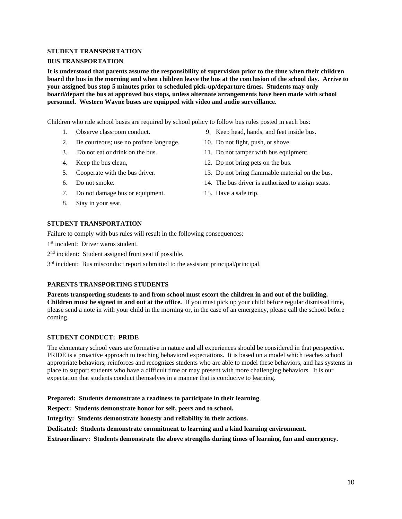#### **STUDENT TRANSPORTATION**

#### **BUS TRANSPORTATION**

**It is understood that parents assume the responsibility of supervision prior to the time when their children board the bus in the morning and when children leave the bus at the conclusion of the school day. Arrive to your assigned bus stop 5 minutes prior to scheduled pick-up/departure times. Students may only board/depart the bus at approved bus stops, unless alternate arrangements have been made with school personnel. Western Wayne buses are equipped with video and audio surveillance.**

Children who ride school buses are required by school policy to follow bus rules posted in each bus:

- 
- 2. Be courteous; use no profane language. 10. Do not fight, push, or shove.
- 
- 
- 
- 
- 7. Do not damage bus or equipment. 15. Have a safe trip.
- 8. Stay in your seat.
- 1. Observe classroom conduct. 9. Keep head, hands, and feet inside bus.
	-
- 3. Do not eat or drink on the bus. 11. Do not tamper with bus equipment.
- 4. Keep the bus clean, 12. Do not bring pets on the bus.
- 5. Cooperate with the bus driver. 13. Do not bring flammable material on the bus.
- 6. Do not smoke. 14. The bus driver is authorized to assign seats.
	-

#### **STUDENT TRANSPORTATION**

Failure to comply with bus rules will result in the following consequences:

1<sup>st</sup> incident: Driver warns student.

2<sup>nd</sup> incident: Student assigned front seat if possible.

3<sup>rd</sup> incident: Bus misconduct report submitted to the assistant principal/principal.

#### **PARENTS TRANSPORTING STUDENTS**

**Parents transporting students to and from school must escort the children in and out of the building. Children must be signed in and out at the office.** If you must pick up your child before regular dismissal time, please send a note in with your child in the morning or, in the case of an emergency, please call the school before coming.

#### **STUDENT CONDUCT: PRIDE**

The elementary school years are formative in nature and all experiences should be considered in that perspective. PRIDE is a proactive approach to teaching behavioral expectations. It is based on a model which teaches school appropriate behaviors, reinforces and recognizes students who are able to model these behaviors, and has systems in place to support students who have a difficult time or may present with more challenging behaviors. It is our expectation that students conduct themselves in a manner that is conducive to learning.

**Prepared: Students demonstrate a readiness to participate in their learning**.

**Respect: Students demonstrate honor for self, peers and to school.**

**Integrity: Students demonstrate honesty and reliability in their actions.**

**Dedicated: Students demonstrate commitment to learning and a kind learning environment.**

**Extraordinary: Students demonstrate the above strengths during times of learning, fun and emergency.**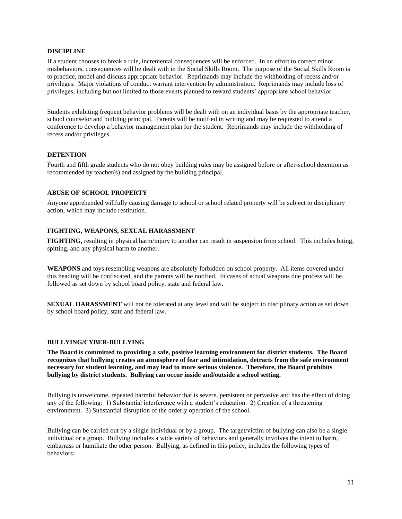#### **DISCIPLINE**

If a student chooses to break a rule, incremental consequences will be enforced. In an effort to correct minor misbehaviors, consequences will be dealt with in the Social Skills Room. The purpose of the Social Skills Room is to practice, model and discuss appropriate behavior. Reprimands may include the withholding of recess and/or privileges. Major violations of conduct warrant intervention by administration. Reprimands may include loss of privileges, including but not limited to those events planned to reward students' appropriate school behavior.

Students exhibiting frequent behavior problems will be dealt with on an individual basis by the appropriate teacher, school counselor and building principal. Parents will be notified in writing and may be requested to attend a conference to develop a behavior management plan for the student. Reprimands may include the withholding of recess and/or privileges.

#### **DETENTION**

Fourth and fifth grade students who do not obey building rules may be assigned before or after-school detention as recommended by teacher(s) and assigned by the building principal.

#### **ABUSE OF SCHOOL PROPERTY**

Anyone apprehended willfully causing damage to school or school related property will be subject to disciplinary action, which may include restitution.

#### **FIGHTING, WEAPONS, SEXUAL HARASSMENT**

**FIGHTING,** resulting in physical harm/injury to another can result in suspension from school. This includes biting, spitting, and any physical harm to another.

**WEAPONS** and toys resembling weapons are absolutely forbidden on school property. All items covered under this heading will be confiscated, and the parents will be notified. In cases of actual weapons due process will be followed as set down by school board policy, state and federal law.

**SEXUAL HARASSMENT** will not be tolerated at any level and will be subject to disciplinary action as set down by school board policy, state and federal law.

#### **BULLYING/CYBER-BULLYING**

**The Board is committed to providing a safe, positive learning environment for district students. The Board recognizes that bullying creates an atmosphere of fear and intimidation, detracts from the safe environment necessary for student learning, and may lead to more serious violence. Therefore, the Board prohibits bullying by district students. Bullying can occur inside and/outside a school setting.**

Bullying is unwelcome, repeated harmful behavior that is severe, persistent or pervasive and has the effect of doing any of the following: 1) Substantial interference with a student's education. 2) Creation of a threatening environment. 3) Substantial disruption of the orderly operation of the school.

Bullying can be carried out by a single individual or by a group. The target/victim of bullying can also be a single individual or a group. Bullying includes a wide variety of behaviors and generally involves the intent to harm, embarrass or humiliate the other person. Bullying, as defined in this policy, includes the following types of behaviors: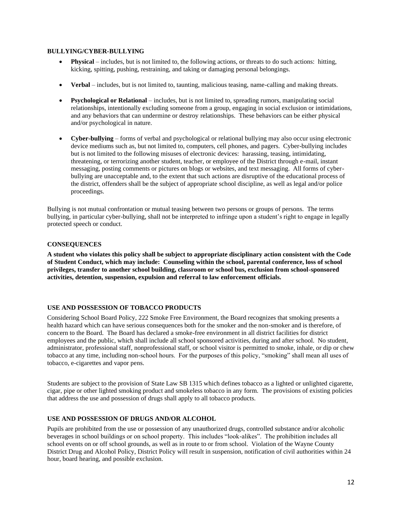#### **BULLYING/CYBER-BULLYING**

- **Physical** includes, but is not limited to, the following actions, or threats to do such actions: hitting, kicking, spitting, pushing, restraining, and taking or damaging personal belongings.
- **Verbal**  includes, but is not limited to, taunting, malicious teasing, name-calling and making threats.
- **Psychological or Relational** includes, but is not limited to, spreading rumors, manipulating social relationships, intentionally excluding someone from a group, engaging in social exclusion or intimidations, and any behaviors that can undermine or destroy relationships. These behaviors can be either physical and/or psychological in nature.
- **Cyber-bullying**  forms of verbal and psychological or relational bullying may also occur using electronic device mediums such as, but not limited to, computers, cell phones, and pagers. Cyber-bullying includes but is not limited to the following misuses of electronic devices: harassing, teasing, intimidating, threatening, or terrorizing another student, teacher, or employee of the District through e-mail, instant messaging, posting comments or pictures on blogs or websites, and text messaging. All forms of cyberbullying are unacceptable and, to the extent that such actions are disruptive of the educational process of the district, offenders shall be the subject of appropriate school discipline, as well as legal and/or police proceedings.

Bullying is not mutual confrontation or mutual teasing between two persons or groups of persons. The terms bullying, in particular cyber-bullying, shall not be interpreted to infringe upon a student's right to engage in legally protected speech or conduct.

#### **CONSEQUENCES**

**A student who violates this policy shall be subject to appropriate disciplinary action consistent with the Code of Student Conduct, which may include: Counseling within the school, parental conference, loss of school privileges, transfer to another school building, classroom or school bus, exclusion from school-sponsored activities, detention, suspension, expulsion and referral to law enforcement officials.**

#### **USE AND POSSESSION OF TOBACCO PRODUCTS**

Considering School Board Policy, 222 Smoke Free Environment, the Board recognizes that smoking presents a health hazard which can have serious consequences both for the smoker and the non-smoker and is therefore, of concern to the Board. The Board has declared a smoke-free environment in all district facilities for district employees and the public, which shall include all school sponsored activities, during and after school. No student, administrator, professional staff, nonprofessional staff, or school visitor is permitted to smoke, inhale, or dip or chew tobacco at any time, including non-school hours. For the purposes of this policy, "smoking" shall mean all uses of tobacco, e-cigarettes and vapor pens.

Students are subject to the provision of State Law SB 1315 which defines tobacco as a lighted or unlighted cigarette, cigar, pipe or other lighted smoking product and smokeless tobacco in any form. The provisions of existing policies that address the use and possession of drugs shall apply to all tobacco products.

#### **USE AND POSSESSION OF DRUGS AND/OR ALCOHOL**

Pupils are prohibited from the use or possession of any unauthorized drugs, controlled substance and/or alcoholic beverages in school buildings or on school property. This includes "look-alikes". The prohibition includes all school events on or off school grounds, as well as in route to or from school. Violation of the Wayne County District Drug and Alcohol Policy, District Policy will result in suspension, notification of civil authorities within 24 hour, board hearing, and possible exclusion.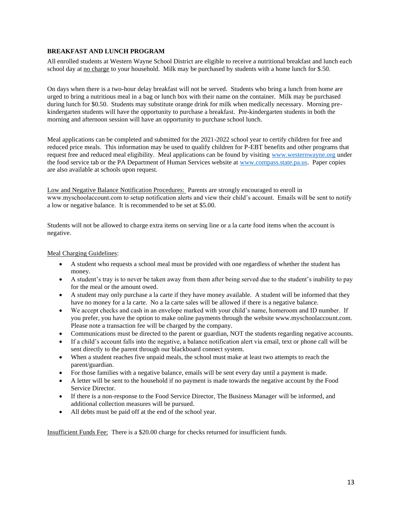#### **BREAKFAST AND LUNCH PROGRAM**

All enrolled students at Western Wayne School District are eligible to receive a nutritional breakfast and lunch each school day at no charge to your household. Milk may be purchased by students with a home lunch for \$.50.

On days when there is a two-hour delay breakfast will not be served. Students who bring a lunch from home are urged to bring a nutritious meal in a bag or lunch box with their name on the container. Milk may be purchased during lunch for \$0.50. Students may substitute orange drink for milk when medically necessary. Morning prekindergarten students will have the opportunity to purchase a breakfast. Pre-kindergarten students in both the morning and afternoon session will have an opportunity to purchase school lunch.

Meal applications can be completed and submitted for the 2021-2022 school year to certify children for free and reduced price meals. This information may be used to qualify children for P-EBT benefits and other programs that request free and reduced meal eligibility. Meal applications can be found by visiting [www.westernwayne.org](http://www.westernwayne.org/) under the food service tab or the PA Department of Human Services website at [www.compass.state.pa.us.](http://www.compass.state.pa.us/) Paper copies are also available at schools upon request.

Low and Negative Balance Notification Procedures: Parents are strongly encouraged to enroll in www.myschoolaccount.com to setup notification alerts and view their child's account. Emails will be sent to notify a low or negative balance. It is recommended to be set at \$5.00.

Students will not be allowed to charge extra items on serving line or a la carte food items when the account is negative.

#### Meal Charging Guidelines:

- A student who requests a school meal must be provided with one regardless of whether the student has money.
- A student's tray is to never be taken away from them after being served due to the student's inability to pay for the meal or the amount owed.
- A student may only purchase a la carte if they have money available. A student will be informed that they have no money for a la carte. No a la carte sales will be allowed if there is a negative balance.
- We accept checks and cash in an envelope marked with your child's name, homeroom and ID number. If you prefer, you have the option to make online payments through the website www.myschoolaccount.com. Please note a transaction fee will be charged by the company.
- Communications must be directed to the parent or guardian, NOT the students regarding negative accounts.
- If a child's account falls into the negative, a balance notification alert via email, text or phone call will be sent directly to the parent through our blackboard connect system.
- When a student reaches five unpaid meals, the school must make at least two attempts to reach the parent/guardian.
- For those families with a negative balance, emails will be sent every day until a payment is made.
- A letter will be sent to the household if no payment is made towards the negative account by the Food Service Director.
- If there is a non-response to the Food Service Director, The Business Manager will be informed, and additional collection measures will be pursued.
- All debts must be paid off at the end of the school year.

Insufficient Funds Fee: There is a \$20.00 charge for checks returned for insufficient funds.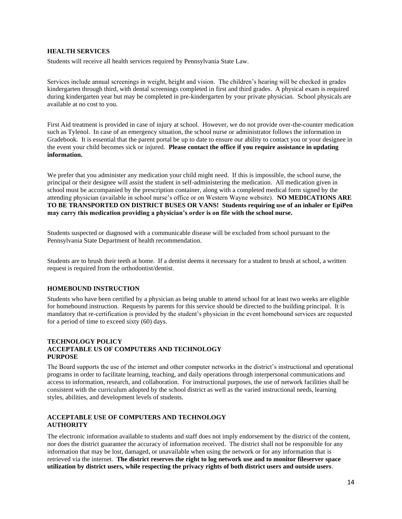#### **HEALTH SERVICES**

Students will receive all health services required by Pennsylvania State Law.

Services include annual screenings in weight, height and vision. The children's hearing will be checked in grades kindergarten through third, with dental screenings completed in first and third grades. A physical exam is required during kindergarten year but may be completed in pre-kindergarten by your private physician. School physicals are available at no cost to you.

First Aid treatment is provided in case of injury at school. However, we do not provide over-the-counter medication such as Tylenol. In case of an emergency situation, the school nurse or administrator follows the information in Gradebook. It is essential that the parent portal be up to date to ensure our ability to contact you or your designee in the event your child becomes sick or injured. **Please contact the office if you require assistance in updating information.**

We prefer that you administer any medication your child might need. If this is impossible, the school nurse, the principal or their designee will assist the student in self-administering the medication. All medication given in school must be accompanied by the prescription container, along with a completed medical form signed by the attending physician (available in school nurse's office or on Western Wayne website). **NO MEDICATIONS ARE TO BE TRANSPORTED ON DISTRICT BUSES OR VANS! Students requiring use of an inhaler or EpiPen may carry this medication providing a physician's order is on file with the school nurse.**

Students suspected or diagnosed with a communicable disease will be excluded from school pursuant to the Pennsylvania State Department of health recommendation.

Students are to brush their teeth at home. If a dentist deems it necessary for a student to brush at school, a written request is required from the orthodontist/dentist.

#### **HOMEBOUND INSTRUCTION**

Students who have been certified by a physician as being unable to attend school for at least two weeks are eligible for homebound instruction. Requests by parents for this service should be directed to the building principal. It is mandatory that re-certification is provided by the student's physician in the event homebound services are requested for a period of time to exceed sixty (60) days.

#### **TECHNOLOGY POLICY ACCEPTABLE US OF COMPUTERS AND TECHNOLOGY PURPOSE**

The Board supports the use of the internet and other computer networks in the district's instructional and operational programs in order to facilitate learning, teaching, and daily operations through interpersonal communications and access to information, research, and collaboration. For instructional purposes, the use of network facilities shall be consistent with the curriculum adopted by the school district as well as the varied instructional needs, learning styles, abilities, and development levels of students.

#### **ACCEPTABLE USE OF COMPUTERS AND TECHNOLOGY AUTHORITY**

The electronic information available to students and staff does not imply endorsement by the district of the content, nor does the district guarantee the accuracy of information received. The district shall not be responsible for any information that may be lost, damaged, or unavailable when using the network or for any information that is retrieved via the internet. **The district reserves the right to log network use and to monitor fileserver space utilization by district users, while respecting the privacy rights of both district users and outside users**.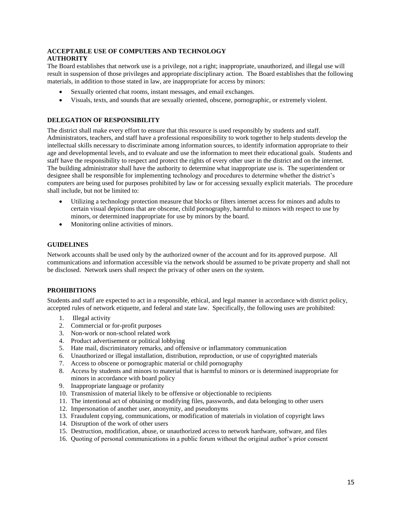#### **ACCEPTABLE USE OF COMPUTERS AND TECHNOLOGY AUTHORITY**

The Board establishes that network use is a privilege, not a right; inappropriate, unauthorized, and illegal use will result in suspension of those privileges and appropriate disciplinary action. The Board establishes that the following materials, in addition to those stated in law, are inappropriate for access by minors:

- Sexually oriented chat rooms, instant messages, and email exchanges.
- Visuals, texts, and sounds that are sexually oriented, obscene, pornographic, or extremely violent.

#### **DELEGATION OF RESPONSIBILITY**

The district shall make every effort to ensure that this resource is used responsibly by students and staff. Administrators, teachers, and staff have a professional responsibility to work together to help students develop the intellectual skills necessary to discriminate among information sources, to identify information appropriate to their age and developmental levels, and to evaluate and use the information to meet their educational goals. Students and staff have the responsibility to respect and protect the rights of every other user in the district and on the internet. The building administrator shall have the authority to determine what inappropriate use is. The superintendent or designee shall be responsible for implementing technology and procedures to determine whether the district's computers are being used for purposes prohibited by law or for accessing sexually explicit materials. The procedure shall include, but not be limited to:

- Utilizing a technology protection measure that blocks or filters internet access for minors and adults to certain visual depictions that are obscene, child pornography, harmful to minors with respect to use by minors, or determined inappropriate for use by minors by the board.
- Monitoring online activities of minors.

#### **GUIDELINES**

Network accounts shall be used only by the authorized owner of the account and for its approved purpose. All communications and information accessible via the network should be assumed to be private property and shall not be disclosed. Network users shall respect the privacy of other users on the system.

#### **PROHIBITIONS**

Students and staff are expected to act in a responsible, ethical, and legal manner in accordance with district policy, accepted rules of network etiquette, and federal and state law. Specifically, the following uses are prohibited:

- 1. Illegal activity
- 2. Commercial or for-profit purposes
- 3. Non-work or non-school related work
- 4. Product advertisement or political lobbying
- 5. Hate mail, discriminatory remarks, and offensive or inflammatory communication
- 6. Unauthorized or illegal installation, distribution, reproduction, or use of copyrighted materials
- 7. Access to obscene or pornographic material or child pornography
- 8. Access by students and minors to material that is harmful to minors or is determined inappropriate for minors in accordance with board policy
- 9. Inappropriate language or profanity
- 10. Transmission of material likely to be offensive or objectionable to recipients
- 11. The intentional act of obtaining or modifying files, passwords, and data belonging to other users
- 12. Impersonation of another user, anonymity, and pseudonyms
- 13. Fraudulent copying, communications, or modification of materials in violation of copyright laws
- 14. Disruption of the work of other users
- 15. Destruction, modification, abuse, or unauthorized access to network hardware, software, and files
- 16. Quoting of personal communications in a public forum without the original author's prior consent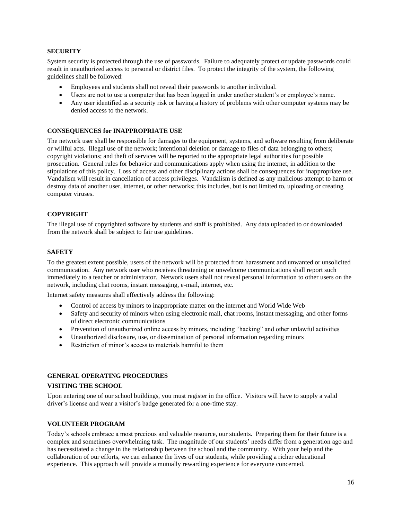#### **SECURITY**

System security is protected through the use of passwords. Failure to adequately protect or update passwords could result in unauthorized access to personal or district files. To protect the integrity of the system, the following guidelines shall be followed:

- Employees and students shall not reveal their passwords to another individual.
- Users are not to use a computer that has been logged in under another student's or employee's name.
- Any user identified as a security risk or having a history of problems with other computer systems may be denied access to the network.

#### **CONSEQUENCES for INAPPROPRIATE USE**

The network user shall be responsible for damages to the equipment, systems, and software resulting from deliberate or willful acts. Illegal use of the network; intentional deletion or damage to files of data belonging to others; copyright violations; and theft of services will be reported to the appropriate legal authorities for possible prosecution. General rules for behavior and communications apply when using the internet, in addition to the stipulations of this policy. Loss of access and other disciplinary actions shall be consequences for inappropriate use. Vandalism will result in cancellation of access privileges. Vandalism is defined as any malicious attempt to harm or destroy data of another user, internet, or other networks; this includes, but is not limited to, uploading or creating computer viruses.

#### **COPYRIGHT**

The illegal use of copyrighted software by students and staff is prohibited. Any data uploaded to or downloaded from the network shall be subject to fair use guidelines.

#### **SAFETY**

To the greatest extent possible, users of the network will be protected from harassment and unwanted or unsolicited communication. Any network user who receives threatening or unwelcome communications shall report such immediately to a teacher or administrator. Network users shall not reveal personal information to other users on the network, including chat rooms, instant messaging, e-mail, internet, etc.

Internet safety measures shall effectively address the following:

- Control of access by minors to inappropriate matter on the internet and World Wide Web
- Safety and security of minors when using electronic mail, chat rooms, instant messaging, and other forms of direct electronic communications
- Prevention of unauthorized online access by minors, including "hacking" and other unlawful activities
- Unauthorized disclosure, use, or dissemination of personal information regarding minors
- Restriction of minor's access to materials harmful to them

#### **GENERAL OPERATING PROCEDURES**

#### **VISITING THE SCHOOL**

Upon entering one of our school buildings, you must register in the office. Visitors will have to supply a valid driver's license and wear a visitor's badge generated for a one-time stay.

#### **VOLUNTEER PROGRAM**

Today's schools embrace a most precious and valuable resource, our students. Preparing them for their future is a complex and sometimes overwhelming task. The magnitude of our students' needs differ from a generation ago and has necessitated a change in the relationship between the school and the community. With your help and the collaboration of our efforts, we can enhance the lives of our students, while providing a richer educational experience. This approach will provide a mutually rewarding experience for everyone concerned.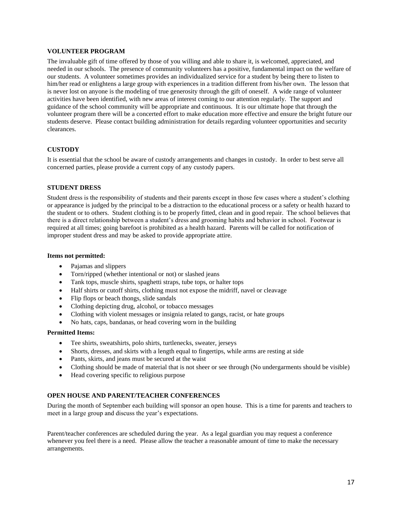#### **VOLUNTEER PROGRAM**

The invaluable gift of time offered by those of you willing and able to share it, is welcomed, appreciated, and needed in our schools. The presence of community volunteers has a positive, fundamental impact on the welfare of our students. A volunteer sometimes provides an individualized service for a student by being there to listen to him/her read or enlightens a large group with experiences in a tradition different from his/her own. The lesson that is never lost on anyone is the modeling of true generosity through the gift of oneself. A wide range of volunteer activities have been identified, with new areas of interest coming to our attention regularly. The support and guidance of the school community will be appropriate and continuous. It is our ultimate hope that through the volunteer program there will be a concerted effort to make education more effective and ensure the bright future our students deserve. Please contact building administration for details regarding volunteer opportunities and security clearances.

#### **CUSTODY**

It is essential that the school be aware of custody arrangements and changes in custody. In order to best serve all concerned parties, please provide a current copy of any custody papers.

#### **STUDENT DRESS**

Student dress is the responsibility of students and their parents except in those few cases where a student's clothing or appearance is judged by the principal to be a distraction to the educational process or a safety or health hazard to the student or to others. Student clothing is to be properly fitted, clean and in good repair. The school believes that there is a direct relationship between a student's dress and grooming habits and behavior in school. Footwear is required at all times; going barefoot is prohibited as a health hazard. Parents will be called for notification of improper student dress and may be asked to provide appropriate attire.

#### **Items not permitted:**

- Pajamas and slippers
- Torn/ripped (whether intentional or not) or slashed jeans
- Tank tops, muscle shirts, spaghetti straps, tube tops, or halter tops
- Half shirts or cutoff shirts, clothing must not expose the midriff, navel or cleavage
- Flip flops or beach thongs, slide sandals
- Clothing depicting drug, alcohol, or tobacco messages
- Clothing with violent messages or insignia related to gangs, racist, or hate groups
- No hats, caps, bandanas, or head covering worn in the building

#### **Permitted Items:**

- Tee shirts, sweatshirts, polo shirts, turtlenecks, sweater, jerseys
- Shorts, dresses, and skirts with a length equal to fingertips, while arms are resting at side
- Pants, skirts, and jeans must be secured at the waist
- Clothing should be made of material that is not sheer or see through (No undergarments should be visible)
- Head covering specific to religious purpose

#### **OPEN HOUSE AND PARENT/TEACHER CONFERENCES**

During the month of September each building will sponsor an open house. This is a time for parents and teachers to meet in a large group and discuss the year's expectations.

Parent/teacher conferences are scheduled during the year. As a legal guardian you may request a conference whenever you feel there is a need. Please allow the teacher a reasonable amount of time to make the necessary arrangements.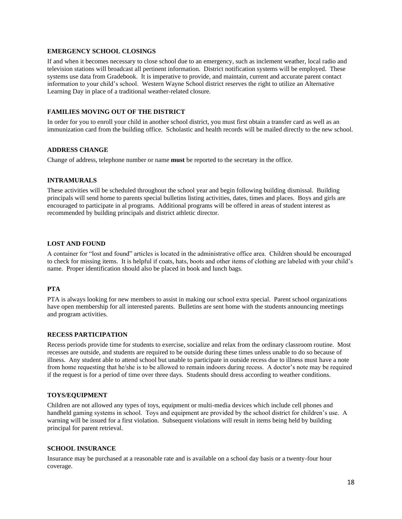#### **EMERGENCY SCHOOL CLOSINGS**

If and when it becomes necessary to close school due to an emergency, such as inclement weather, local radio and television stations will broadcast all pertinent information. District notification systems will be employed. These systems use data from Gradebook. It is imperative to provide, and maintain, current and accurate parent contact information to your child's school. Western Wayne School district reserves the right to utilize an Alternative Learning Day in place of a traditional weather-related closure.

#### **FAMILIES MOVING OUT OF THE DISTRICT**

In order for you to enroll your child in another school district, you must first obtain a transfer card as well as an immunization card from the building office. Scholastic and health records will be mailed directly to the new school.

#### **ADDRESS CHANGE**

Change of address, telephone number or name **must** be reported to the secretary in the office.

#### **INTRAMURALS**

These activities will be scheduled throughout the school year and begin following building dismissal. Building principals will send home to parents special bulletins listing activities, dates, times and places. Boys and girls are encouraged to participate in al programs. Additional programs will be offered in areas of student interest as recommended by building principals and district athletic director.

#### **LOST AND FOUND**

A container for "lost and found" articles is located in the administrative office area. Children should be encouraged to check for missing items. It is helpful if coats, hats, boots and other items of clothing are labeled with your child's name. Proper identification should also be placed in book and lunch bags.

#### **PTA**

PTA is always looking for new members to assist in making our school extra special. Parent school organizations have open membership for all interested parents. Bulletins are sent home with the students announcing meetings and program activities.

#### **RECESS PARTICIPATION**

Recess periods provide time for students to exercise, socialize and relax from the ordinary classroom routine. Most recesses are outside, and students are required to be outside during these times unless unable to do so because of illness. Any student able to attend school but unable to participate in outside recess due to illness must have a note from home requesting that he/she is to be allowed to remain indoors during recess. A doctor's note may be required if the request is for a period of time over three days. Students should dress according to weather conditions.

#### **TOYS/EQUIPMENT**

Children are not allowed any types of toys, equipment or multi-media devices which include cell phones and handheld gaming systems in school. Toys and equipment are provided by the school district for children's use. A warning will be issued for a first violation. Subsequent violations will result in items being held by building principal for parent retrieval.

#### **SCHOOL INSURANCE**

Insurance may be purchased at a reasonable rate and is available on a school day basis or a twenty-four hour coverage.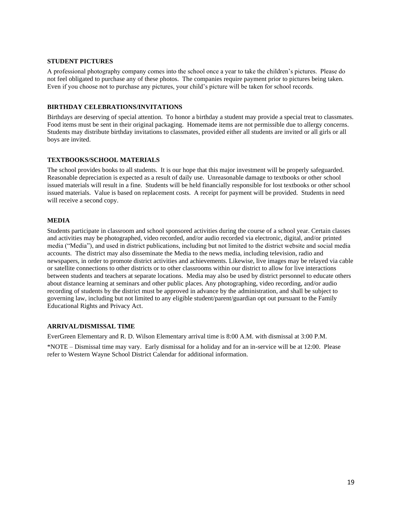#### **STUDENT PICTURES**

A professional photography company comes into the school once a year to take the children's pictures. Please do not feel obligated to purchase any of these photos. The companies require payment prior to pictures being taken. Even if you choose not to purchase any pictures, your child's picture will be taken for school records.

#### **BIRTHDAY CELEBRATIONS/INVITATIONS**

Birthdays are deserving of special attention. To honor a birthday a student may provide a special treat to classmates. Food items must be sent in their original packaging. Homemade items are not permissible due to allergy concerns. Students may distribute birthday invitations to classmates, provided either all students are invited or all girls or all boys are invited.

#### **TEXTBOOKS/SCHOOL MATERIALS**

The school provides books to all students. It is our hope that this major investment will be properly safeguarded. Reasonable depreciation is expected as a result of daily use. Unreasonable damage to textbooks or other school issued materials will result in a fine. Students will be held financially responsible for lost textbooks or other school issued materials. Value is based on replacement costs. A receipt for payment will be provided. Students in need will receive a second copy.

#### **MEDIA**

Students participate in classroom and school sponsored activities during the course of a school year. Certain classes and activities may be photographed, video recorded, and/or audio recorded via electronic, digital, and/or printed media ("Media"), and used in district publications, including but not limited to the district website and social media accounts. The district may also disseminate the Media to the news media, including television, radio and newspapers, in order to promote district activities and achievements. Likewise, live images may be relayed via cable or satellite connections to other districts or to other classrooms within our district to allow for live interactions between students and teachers at separate locations. Media may also be used by district personnel to educate others about distance learning at seminars and other public places. Any photographing, video recording, and/or audio recording of students by the district must be approved in advance by the administration, and shall be subject to governing law, including but not limited to any eligible student/parent/guardian opt out pursuant to the Family Educational Rights and Privacy Act.

#### **ARRIVAL/DISMISSAL TIME**

EverGreen Elementary and R. D. Wilson Elementary arrival time is 8:00 A.M. with dismissal at 3:00 P.M.

\*NOTE – Dismissal time may vary. Early dismissal for a holiday and for an in-service will be at 12:00. Please refer to Western Wayne School District Calendar for additional information.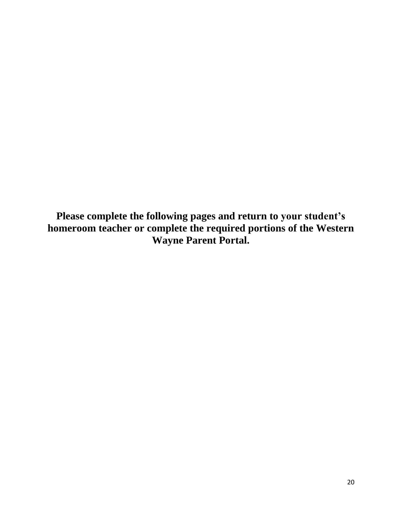**Please complete the following pages and return to your student's homeroom teacher or complete the required portions of the Western Wayne Parent Portal.**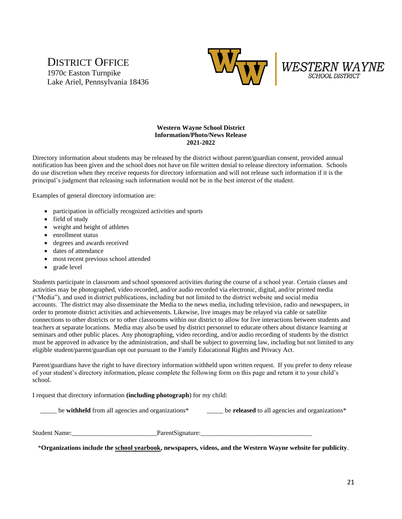## DISTRICT OFFICE 1970c Easton Turnpike Lake Ariel, Pennsylvania 18436





#### **Western Wayne School District Information/Photo/News Release 2021-2022**

Directory information about students may be released by the district without parent/guardian consent, provided annual notification has been given and the school does not have on file written denial to release directory information. Schools do use discretion when they receive requests for directory information and will not release such information if it is the principal's judgment that releasing such information would not be in the best interest of the student.

Examples of general directory information are:

- participation in officially recognized activities and sports
- field of study
- weight and height of athletes
- enrollment status
- degrees and awards received
- dates of attendance
- most recent previous school attended
- grade level

Students participate in classroom and school sponsored activities during the course of a school year. Certain classes and activities may be photographed, video recorded, and/or audio recorded via electronic, digital, and/or printed media ("Media"), and used in district publications, including but not limited to the district website and social media accounts. The district may also disseminate the Media to the news media, including television, radio and newspapers, in order to promote district activities and achievements. Likewise, live images may be relayed via cable or satellite connections to other districts or to other classrooms within our district to allow for live interactions between students and teachers at separate locations. Media may also be used by district personnel to educate others about distance learning at seminars and other public places. Any photographing, video recording, and/or audio recording of students by the district must be approved in advance by the administration, and shall be subject to governing law, including but not limited to any eligible student/parent/guardian opt out pursuant to the Family Educational Rights and Privacy Act.

Parent/guardians have the right to have directory information withheld upon written request. If you prefer to deny release of your student's directory information, please complete the following form on this page and return it to your child's school.

I request that directory information **(including photograph**) for my child:

\_\_\_\_\_ be **withheld** from all agencies and organizations\* \_\_\_\_\_ be **released** to all agencies and organizations\*

Student Name:\_\_\_\_\_\_\_\_\_\_\_\_\_\_\_\_\_\_\_\_\_\_\_\_\_\_ParentSignature:\_\_\_\_\_\_\_\_\_\_\_\_\_\_\_\_\_\_\_\_\_\_\_\_\_\_\_\_\_\_\_\_\_\_

\***Organizations include the school yearbook, newspapers, videos, and the Western Wayne website for publicity**.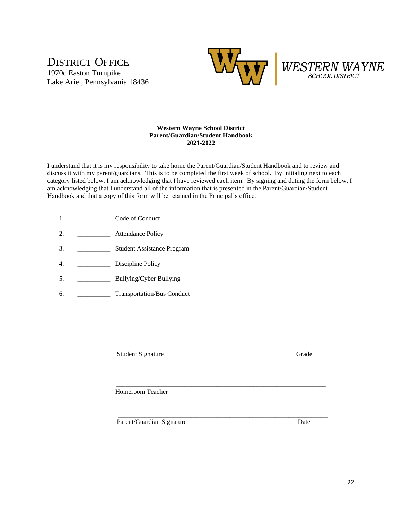## DISTRICT OFFICE 1970c Easton Turnpike Lake Ariel, Pennsylvania 18436





#### **Western Wayne School District Parent/Guardian/Student Handbook 2021-2022**

I understand that it is my responsibility to take home the Parent/Guardian/Student Handbook and to review and discuss it with my parent/guardians. This is to be completed the first week of school. By initialing next to each category listed below, I am acknowledging that I have reviewed each item. By signing and dating the form below, I am acknowledging that I understand all of the information that is presented in the Parent/Guardian/Student Handbook and that a copy of this form will be retained in the Principal's office.

 $\mathcal{L}_\text{max} = \frac{1}{2} \sum_{i=1}^{n} \frac{1}{2} \sum_{j=1}^{n} \frac{1}{2} \sum_{j=1}^{n} \frac{1}{2} \sum_{j=1}^{n} \frac{1}{2} \sum_{j=1}^{n} \frac{1}{2} \sum_{j=1}^{n} \frac{1}{2} \sum_{j=1}^{n} \frac{1}{2} \sum_{j=1}^{n} \frac{1}{2} \sum_{j=1}^{n} \frac{1}{2} \sum_{j=1}^{n} \frac{1}{2} \sum_{j=1}^{n} \frac{1}{2} \sum_{j=1}^{n} \frac{1$ 

\_\_\_\_\_\_\_\_\_\_\_\_\_\_\_\_\_\_\_\_\_\_\_\_\_\_\_\_\_\_\_\_\_\_\_\_\_\_\_\_\_\_\_\_\_\_\_\_\_\_\_\_\_\_\_\_\_\_\_\_\_\_\_\_

- 1. \_\_\_\_\_\_\_\_\_\_\_\_\_\_\_\_\_\_\_ Code of Conduct
- 2. \_\_\_\_\_\_\_\_\_\_\_\_\_\_ Attendance Policy
- 3. \_\_\_\_\_\_\_\_\_\_ Student Assistance Program
- 4. \_\_\_\_\_\_\_\_\_\_\_\_\_ Discipline Policy
- 5. \_\_\_\_\_\_\_\_\_\_\_\_\_\_\_ Bullying/Cyber Bullying
- 6. \_\_\_\_\_\_\_\_\_\_ Transportation/Bus Conduct

\_\_\_\_\_\_\_\_\_\_\_\_\_\_\_\_\_\_\_\_\_\_\_\_\_\_\_\_\_\_\_\_\_\_\_\_\_\_\_\_\_\_\_\_\_\_\_\_\_\_\_\_\_\_\_\_\_\_\_\_\_\_\_ Student Signature Grade

Homeroom Teacher

Parent/Guardian Signature Date